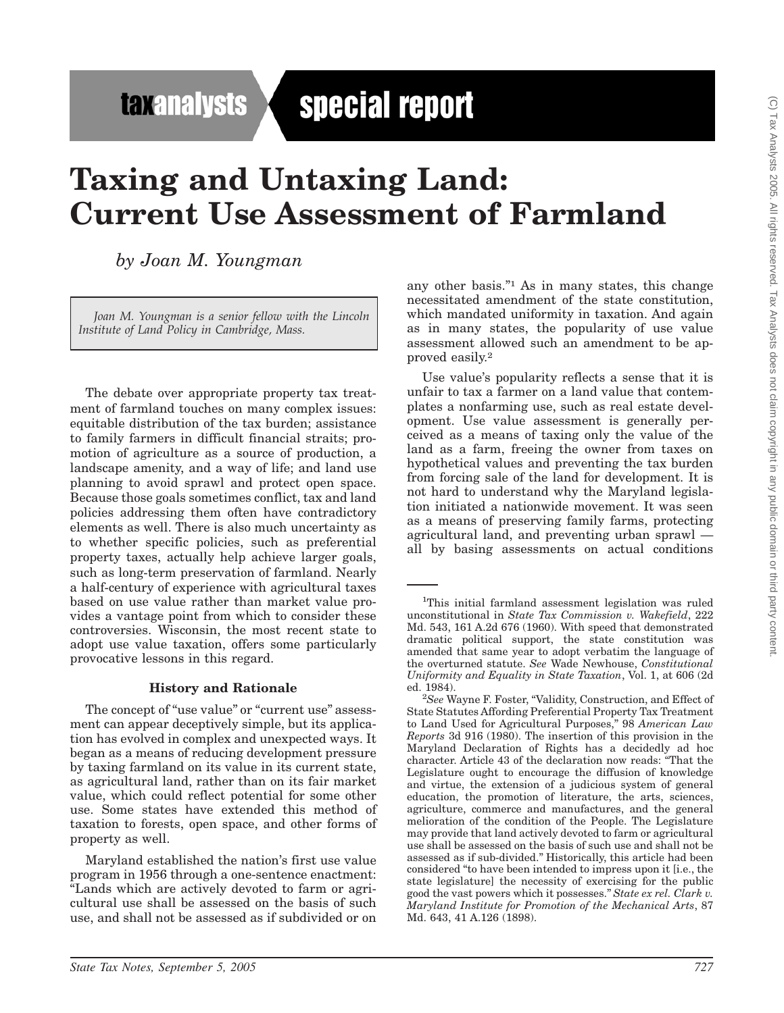**taxanalysts** 

# special report

## **Taxing and Untaxing Land: Current Use Assessment of Farmland**

*by Joan M. Youngman*

*Joan M. Youngman is a senior fellow with the Lincoln Institute of Land Policy in Cambridge, Mass.*

The debate over appropriate property tax treatment of farmland touches on many complex issues: equitable distribution of the tax burden; assistance to family farmers in difficult financial straits; promotion of agriculture as a source of production, a landscape amenity, and a way of life; and land use planning to avoid sprawl and protect open space. Because those goals sometimes conflict, tax and land policies addressing them often have contradictory elements as well. There is also much uncertainty as to whether specific policies, such as preferential property taxes, actually help achieve larger goals, such as long-term preservation of farmland. Nearly a half-century of experience with agricultural taxes based on use value rather than market value provides a vantage point from which to consider these controversies. Wisconsin, the most recent state to adopt use value taxation, offers some particularly provocative lessons in this regard.

#### **History and Rationale**

The concept of "use value" or "current use" assessment can appear deceptively simple, but its application has evolved in complex and unexpected ways. It began as a means of reducing development pressure by taxing farmland on its value in its current state, as agricultural land, rather than on its fair market value, which could reflect potential for some other use. Some states have extended this method of taxation to forests, open space, and other forms of property as well.

Maryland established the nation's first use value program in 1956 through a one-sentence enactment: ''Lands which are actively devoted to farm or agricultural use shall be assessed on the basis of such use, and shall not be assessed as if subdivided or on any other basis.''1 As in many states, this change necessitated amendment of the state constitution, which mandated uniformity in taxation. And again as in many states, the popularity of use value assessment allowed such an amendment to be approved easily.2

Use value's popularity reflects a sense that it is unfair to tax a farmer on a land value that contemplates a nonfarming use, such as real estate development. Use value assessment is generally perceived as a means of taxing only the value of the land as a farm, freeing the owner from taxes on hypothetical values and preventing the tax burden from forcing sale of the land for development. It is not hard to understand why the Maryland legislation initiated a nationwide movement. It was seen as a means of preserving family farms, protecting agricultural land, and preventing urban sprawl all by basing assessments on actual conditions

<sup>1</sup> This initial farmland assessment legislation was ruled unconstitutional in *State Tax Commission v. Wakefield*, 222 Md. 543, 161 A.2d 676 (1960). With speed that demonstrated dramatic political support, the state constitution was amended that same year to adopt verbatim the language of the overturned statute. *See* Wade Newhouse, *Constitutional Uniformity and Equality in State Taxation*, Vol. 1, at 606 (2d ed. 1984).

<sup>&</sup>lt;sup>2</sup>See Wayne F. Foster, "Validity, Construction, and Effect of State Statutes Affording Preferential Property Tax Treatment to Land Used for Agricultural Purposes,'' 98 *American Law Reports* 3d 916 (1980). The insertion of this provision in the Maryland Declaration of Rights has a decidedly ad hoc character. Article 43 of the declaration now reads: ''That the Legislature ought to encourage the diffusion of knowledge and virtue, the extension of a judicious system of general education, the promotion of literature, the arts, sciences, agriculture, commerce and manufactures, and the general melioration of the condition of the People. The Legislature may provide that land actively devoted to farm or agricultural use shall be assessed on the basis of such use and shall not be assessed as if sub-divided.'' Historically, this article had been considered ''to have been intended to impress upon it [i.e., the state legislature] the necessity of exercising for the public good the vast powers which it possesses.'' *State ex rel. Clark v. Maryland Institute for Promotion of the Mechanical Arts*, 87 Md. 643, 41 A.126 (1898).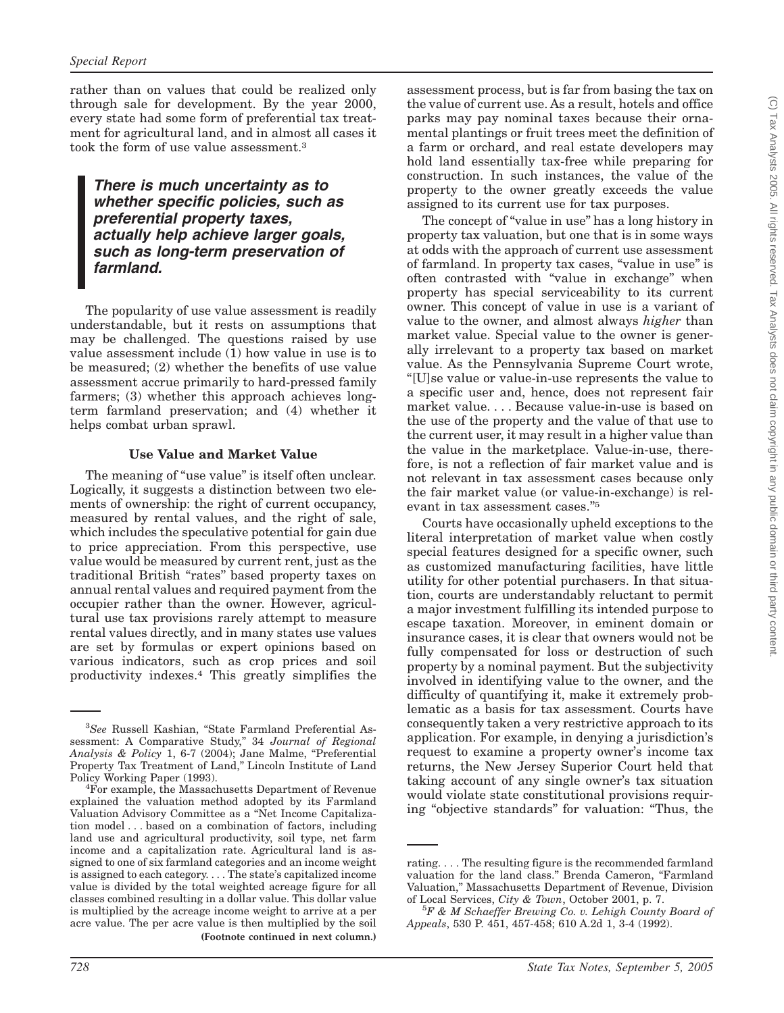rather than on values that could be realized only through sale for development. By the year 2000, every state had some form of preferential tax treatment for agricultural land, and in almost all cases it took the form of use value assessment.3

#### *There is much uncertainty as to whether specific policies, such as preferential property taxes, actually help achieve larger goals, such as long-term preservation of farmland.*

The popularity of use value assessment is readily understandable, but it rests on assumptions that may be challenged. The questions raised by use value assessment include (1) how value in use is to be measured; (2) whether the benefits of use value assessment accrue primarily to hard-pressed family farmers; (3) whether this approach achieves longterm farmland preservation; and (4) whether it helps combat urban sprawl.

#### **Use Value and Market Value**

The meaning of "use value" is itself often unclear. Logically, it suggests a distinction between two elements of ownership: the right of current occupancy, measured by rental values, and the right of sale, which includes the speculative potential for gain due to price appreciation. From this perspective, use value would be measured by current rent, just as the traditional British ''rates'' based property taxes on annual rental values and required payment from the occupier rather than the owner. However, agricultural use tax provisions rarely attempt to measure rental values directly, and in many states use values are set by formulas or expert opinions based on various indicators, such as crop prices and soil productivity indexes.4 This greatly simplifies the

assessment process, but is far from basing the tax on the value of current use. As a result, hotels and office parks may pay nominal taxes because their ornamental plantings or fruit trees meet the definition of a farm or orchard, and real estate developers may hold land essentially tax-free while preparing for construction. In such instances, the value of the property to the owner greatly exceeds the value assigned to its current use for tax purposes.

The concept of "value in use" has a long history in property tax valuation, but one that is in some ways at odds with the approach of current use assessment of farmland. In property tax cases, "value in use" is often contrasted with ''value in exchange'' when property has special serviceability to its current owner. This concept of value in use is a variant of value to the owner, and almost always *higher* than market value. Special value to the owner is generally irrelevant to a property tax based on market value. As the Pennsylvania Supreme Court wrote, ''[U]se value or value-in-use represents the value to a specific user and, hence, does not represent fair market value. . . . Because value-in-use is based on the use of the property and the value of that use to the current user, it may result in a higher value than the value in the marketplace. Value-in-use, therefore, is not a reflection of fair market value and is not relevant in tax assessment cases because only the fair market value (or value-in-exchange) is relevant in tax assessment cases.''5

Courts have occasionally upheld exceptions to the literal interpretation of market value when costly special features designed for a specific owner, such as customized manufacturing facilities, have little utility for other potential purchasers. In that situation, courts are understandably reluctant to permit a major investment fulfilling its intended purpose to escape taxation. Moreover, in eminent domain or insurance cases, it is clear that owners would not be fully compensated for loss or destruction of such property by a nominal payment. But the subjectivity involved in identifying value to the owner, and the difficulty of quantifying it, make it extremely problematic as a basis for tax assessment. Courts have consequently taken a very restrictive approach to its application. For example, in denying a jurisdiction's request to examine a property owner's income tax returns, the New Jersey Superior Court held that taking account of any single owner's tax situation would violate state constitutional provisions requiring "objective standards" for valuation: "Thus, the

<sup>3</sup> *See* Russell Kashian, ''State Farmland Preferential Assessment: A Comparative Study,'' 34 *Journal of Regional Analysis & Policy* 1, 6-7 (2004); Jane Malme, ''Preferential Property Tax Treatment of Land,'' Lincoln Institute of Land Policy Working Paper (1993). <sup>4</sup>

For example, the Massachusetts Department of Revenue explained the valuation method adopted by its Farmland Valuation Advisory Committee as a ''Net Income Capitalization model... based on a combination of factors, including land use and agricultural productivity, soil type, net farm income and a capitalization rate. Agricultural land is assigned to one of six farmland categories and an income weight is assigned to each category. . . . The state's capitalized income value is divided by the total weighted acreage figure for all classes combined resulting in a dollar value. This dollar value is multiplied by the acreage income weight to arrive at a per acre value. The per acre value is then multiplied by the soil **(Footnote continued in next column.)**

rating. . . . The resulting figure is the recommended farmland valuation for the land class." Brenda Cameron, "Farmland Valuation,'' Massachusetts Department of Revenue, Division of Local Services, *City & Town*, October 2001, p. 7.

*F & M Schaeffer Brewing Co. v. Lehigh County Board of Appeals*, 530 P. 451, 457-458; 610 A.2d 1, 3-4 (1992).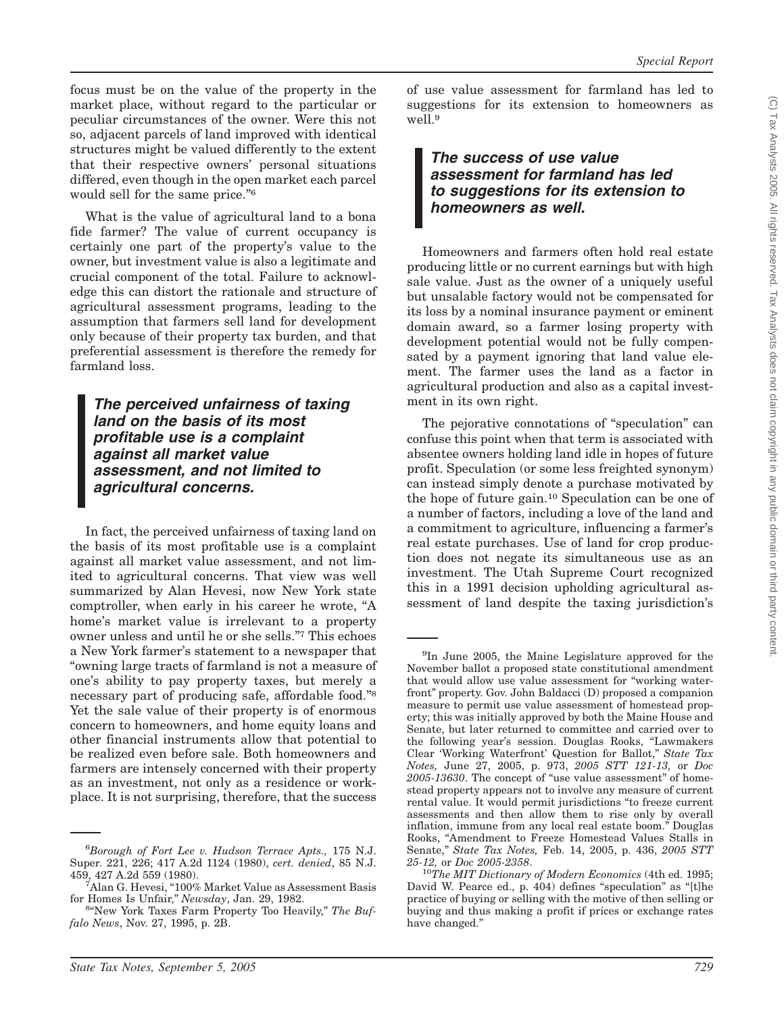focus must be on the value of the property in the market place, without regard to the particular or peculiar circumstances of the owner. Were this not so, adjacent parcels of land improved with identical structures might be valued differently to the extent that their respective owners' personal situations differed, even though in the open market each parcel would sell for the same price."<sup>6</sup>

What is the value of agricultural land to a bona fide farmer? The value of current occupancy is certainly one part of the property's value to the owner, but investment value is also a legitimate and crucial component of the total. Failure to acknowledge this can distort the rationale and structure of agricultural assessment programs, leading to the assumption that farmers sell land for development only because of their property tax burden, and that preferential assessment is therefore the remedy for farmland loss.

*The perceived unfairness of taxing land on the basis of its most profitable use is a complaint against all market value assessment, and not limited to agricultural concerns.*

In fact, the perceived unfairness of taxing land on the basis of its most profitable use is a complaint against all market value assessment, and not limited to agricultural concerns. That view was well summarized by Alan Hevesi, now New York state comptroller, when early in his career he wrote, ''A home's market value is irrelevant to a property owner unless and until he or she sells.''7 This echoes a New York farmer's statement to a newspaper that ''owning large tracts of farmland is not a measure of one's ability to pay property taxes, but merely a necessary part of producing safe, affordable food.''8 Yet the sale value of their property is of enormous concern to homeowners, and home equity loans and other financial instruments allow that potential to be realized even before sale. Both homeowners and farmers are intensely concerned with their property as an investment, not only as a residence or workplace. It is not surprising, therefore, that the success

*State Tax Notes, September 5, 2005 729*

of use value assessment for farmland has led to suggestions for its extension to homeowners as well.9

*The success of use value assessment for farmland has led to suggestions for its extension to homeowners as well.*

Homeowners and farmers often hold real estate producing little or no current earnings but with high sale value. Just as the owner of a uniquely useful but unsalable factory would not be compensated for its loss by a nominal insurance payment or eminent domain award, so a farmer losing property with development potential would not be fully compensated by a payment ignoring that land value element. The farmer uses the land as a factor in agricultural production and also as a capital investment in its own right.

The pejorative connotations of "speculation" can confuse this point when that term is associated with absentee owners holding land idle in hopes of future profit. Speculation (or some less freighted synonym) can instead simply denote a purchase motivated by the hope of future gain.10 Speculation can be one of a number of factors, including a love of the land and a commitment to agriculture, influencing a farmer's real estate purchases. Use of land for crop production does not negate its simultaneous use as an investment. The Utah Supreme Court recognized this in a 1991 decision upholding agricultural assessment of land despite the taxing jurisdiction's

<sup>6</sup> *Borough of Fort Lee v. Hudson Terrace Apts.,* 175 N.J. Super. 221, 226; 417 A.2d 1124 (1980), *cert. denied*, 85 N.J. 459, 427 A.2d 559 (1980). <sup>7</sup>

<sup>&</sup>lt;sup>7</sup>Alan G. Hevesi, "100% Market Value as Assessment Basis for Homes Is Unfair,'' *Newsday*, Jan. 29, 1982. <sup>8</sup>

<sup>&</sup>lt;sup>8</sup>"New York Taxes Farm Property Too Heavily," The Buf*falo News*, Nov. 27, 1995, p. 2B.

<sup>&</sup>lt;sup>9</sup>In June 2005, the Maine Legislature approved for the November ballot a proposed state constitutional amendment that would allow use value assessment for ''working waterfront'' property. Gov. John Baldacci (D) proposed a companion measure to permit use value assessment of homestead property; this was initially approved by both the Maine House and Senate, but later returned to committee and carried over to the following year's session. Douglas Rooks, ''Lawmakers Clear 'Working Waterfront' Question for Ballot,'' *State Tax Notes,* June 27, 2005, p. 973, *2005 STT 121-13,* or *Doc* 2005-13630. The concept of "use value assessment" of homestead property appears not to involve any measure of current rental value. It would permit jurisdictions ''to freeze current assessments and then allow them to rise only by overall inflation, immune from any local real estate boom.'' Douglas Rooks, ''Amendment to Freeze Homestead Values Stalls in Senate,'' *State Tax Notes,* Feb. 14, 2005, p. 436, *2005 STT 25-12,* or *Doc 2005-2358*. <sup>10</sup>*The MIT Dictionary of Modern Economics* (4th ed. 1995;

David W. Pearce ed., p. 404) defines "speculation" as "[t]he practice of buying or selling with the motive of then selling or buying and thus making a profit if prices or exchange rates have changed.''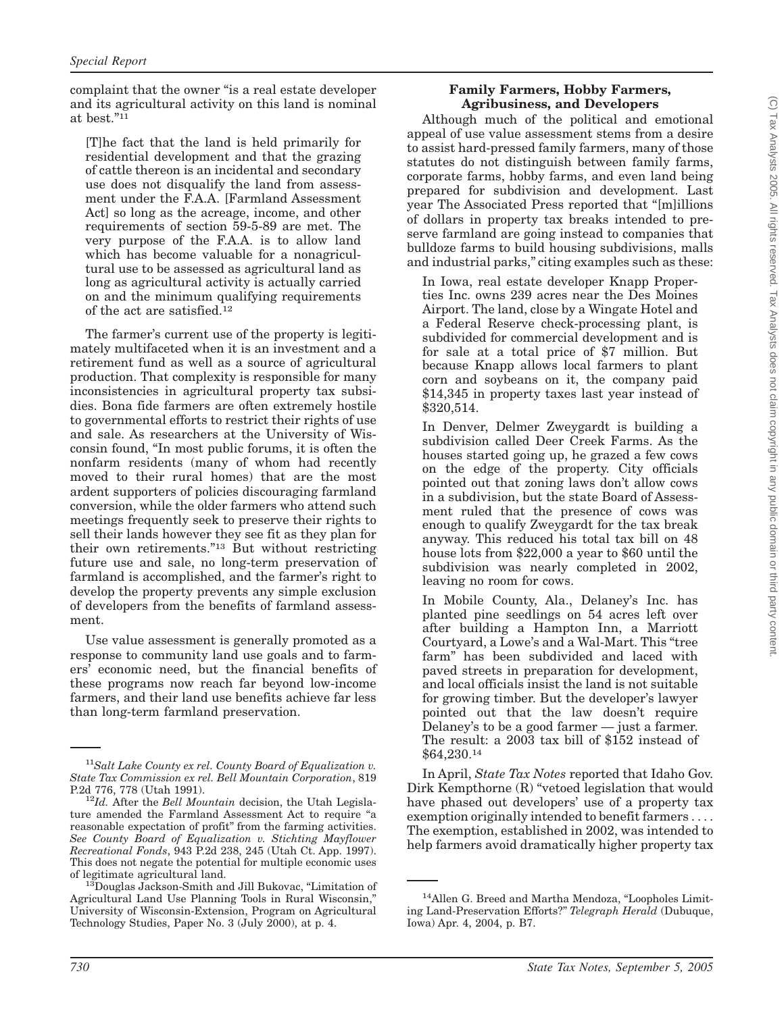complaint that the owner "is a real estate developer and its agricultural activity on this land is nominal at best.''11

[T]he fact that the land is held primarily for residential development and that the grazing of cattle thereon is an incidental and secondary use does not disqualify the land from assessment under the F.A.A. [Farmland Assessment Act] so long as the acreage, income, and other requirements of section 59-5-89 are met. The very purpose of the F.A.A. is to allow land which has become valuable for a nonagricultural use to be assessed as agricultural land as long as agricultural activity is actually carried on and the minimum qualifying requirements of the act are satisfied.12

The farmer's current use of the property is legitimately multifaceted when it is an investment and a retirement fund as well as a source of agricultural production. That complexity is responsible for many inconsistencies in agricultural property tax subsidies. Bona fide farmers are often extremely hostile to governmental efforts to restrict their rights of use and sale. As researchers at the University of Wisconsin found, ''In most public forums, it is often the nonfarm residents (many of whom had recently moved to their rural homes) that are the most ardent supporters of policies discouraging farmland conversion, while the older farmers who attend such meetings frequently seek to preserve their rights to sell their lands however they see fit as they plan for their own retirements.''13 But without restricting future use and sale, no long-term preservation of farmland is accomplished, and the farmer's right to develop the property prevents any simple exclusion of developers from the benefits of farmland assessment.

Use value assessment is generally promoted as a response to community land use goals and to farmers' economic need, but the financial benefits of these programs now reach far beyond low-income farmers, and their land use benefits achieve far less than long-term farmland preservation.

Although much of the political and emotional appeal of use value assessment stems from a desire to assist hard-pressed family farmers, many of those statutes do not distinguish between family farms, corporate farms, hobby farms, and even land being prepared for subdivision and development. Last year The Associated Press reported that ''[m]illions of dollars in property tax breaks intended to preserve farmland are going instead to companies that bulldoze farms to build housing subdivisions, malls and industrial parks,'' citing examples such as these:

In Iowa, real estate developer Knapp Properties Inc. owns 239 acres near the Des Moines Airport. The land, close by a Wingate Hotel and a Federal Reserve check-processing plant, is subdivided for commercial development and is for sale at a total price of \$7 million. But because Knapp allows local farmers to plant corn and soybeans on it, the company paid \$14,345 in property taxes last year instead of \$320,514.

In Denver, Delmer Zweygardt is building a subdivision called Deer Creek Farms. As the houses started going up, he grazed a few cows on the edge of the property. City officials pointed out that zoning laws don't allow cows in a subdivision, but the state Board of Assessment ruled that the presence of cows was enough to qualify Zweygardt for the tax break anyway. This reduced his total tax bill on 48 house lots from \$22,000 a year to \$60 until the subdivision was nearly completed in 2002, leaving no room for cows.

In Mobile County, Ala., Delaney's Inc. has planted pine seedlings on 54 acres left over after building a Hampton Inn, a Marriott Courtyard, a Lowe's and a Wal-Mart. This ''tree farm'' has been subdivided and laced with paved streets in preparation for development, and local officials insist the land is not suitable for growing timber. But the developer's lawyer pointed out that the law doesn't require Delaney's to be a good farmer — just a farmer. The result: a 2003 tax bill of \$152 instead of \$64,230.14

In April, *State Tax Notes* reported that Idaho Gov. Dirk Kempthorne (R) ''vetoed legislation that would have phased out developers' use of a property tax exemption originally intended to benefit farmers.... The exemption, established in 2002, was intended to help farmers avoid dramatically higher property tax

<sup>11</sup>*Salt Lake County ex rel. County Board of Equalization v. State Tax Commission ex rel. Bell Mountain Corporation*, 819

<sup>&</sup>lt;sup>12</sup>Id. After the *Bell Mountain* decision, the Utah Legislature amended the Farmland Assessment Act to require ''a reasonable expectation of profit" from the farming activities. *See County Board of Equalization v. Stichting Mayflower Recreational Fonds*, 943 P.2d 238, 245 (Utah Ct. App. 1997). This does not negate the potential for multiple economic uses

of legitimate agricultural land. 13Douglas Jackson-Smith and Jill Bukovac, ''Limitation of Agricultural Land Use Planning Tools in Rural Wisconsin,'' University of Wisconsin-Extension, Program on Agricultural Technology Studies, Paper No. 3 (July 2000), at p. 4.

<sup>&</sup>lt;sup>14</sup>Allen G. Breed and Martha Mendoza, "Loopholes Limiting Land-Preservation Efforts?'' *Telegraph Herald* (Dubuque, Iowa) Apr. 4, 2004, p. B7.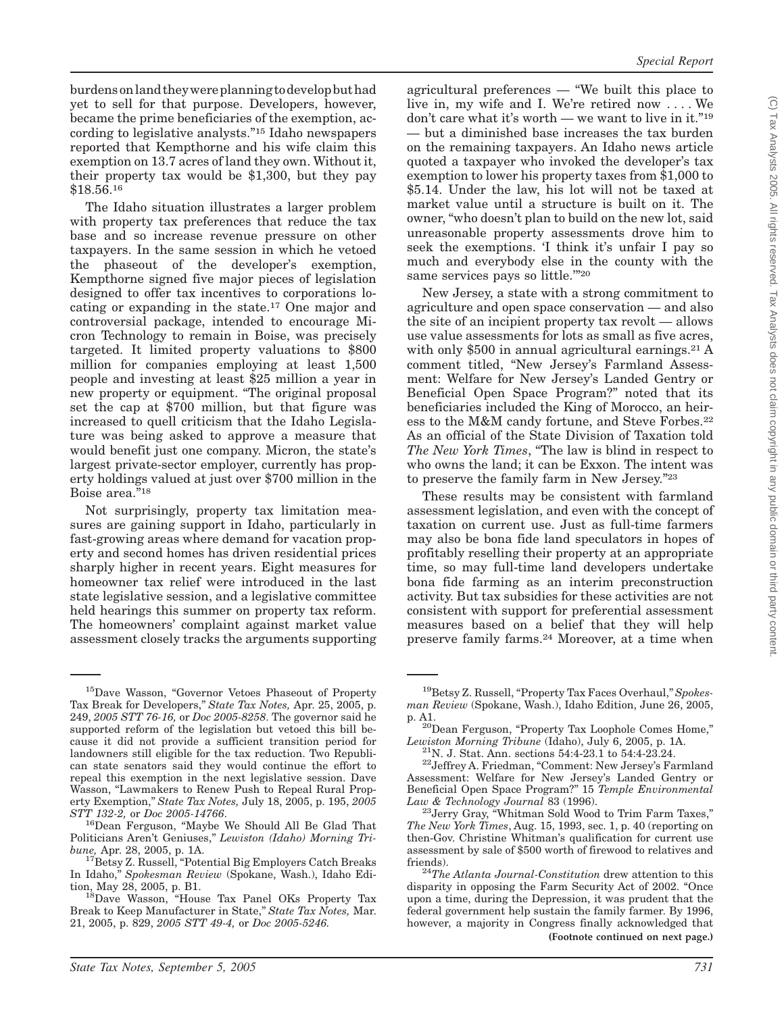burdens on land theywereplanning todevelop buthad yet to sell for that purpose. Developers, however, became the prime beneficiaries of the exemption, according to legislative analysts.''15 Idaho newspapers reported that Kempthorne and his wife claim this exemption on 13.7 acres of land they own. Without it, their property tax would be \$1,300, but they pay \$18.56.16

The Idaho situation illustrates a larger problem with property tax preferences that reduce the tax base and so increase revenue pressure on other taxpayers. In the same session in which he vetoed the phaseout of the developer's exemption, Kempthorne signed five major pieces of legislation designed to offer tax incentives to corporations locating or expanding in the state.17 One major and controversial package, intended to encourage Micron Technology to remain in Boise, was precisely targeted. It limited property valuations to \$800 million for companies employing at least 1,500 people and investing at least \$25 million a year in new property or equipment. ''The original proposal set the cap at \$700 million, but that figure was increased to quell criticism that the Idaho Legislature was being asked to approve a measure that would benefit just one company. Micron, the state's largest private-sector employer, currently has property holdings valued at just over \$700 million in the Boise area."<sup>18</sup>

Not surprisingly, property tax limitation measures are gaining support in Idaho, particularly in fast-growing areas where demand for vacation property and second homes has driven residential prices sharply higher in recent years. Eight measures for homeowner tax relief were introduced in the last state legislative session, and a legislative committee held hearings this summer on property tax reform. The homeowners' complaint against market value assessment closely tracks the arguments supporting

<sup>16</sup>Dean Ferguson, "Maybe We Should All Be Glad That Politicians Aren't Geniuses,'' *Lewiston (Idaho) Morning Tri-*

agricultural preferences  $-$  "We built this place to live in, my wife and I. We're retired now . . . . We don't care what it's worth — we want to live in it."<sup>19</sup> — but a diminished base increases the tax burden on the remaining taxpayers. An Idaho news article quoted a taxpayer who invoked the developer's tax exemption to lower his property taxes from \$1,000 to \$5.14. Under the law, his lot will not be taxed at market value until a structure is built on it. The owner, ''who doesn't plan to build on the new lot, said unreasonable property assessments drove him to seek the exemptions. 'I think it's unfair I pay so much and everybody else in the county with the same services pays so little.""20

New Jersey, a state with a strong commitment to agriculture and open space conservation — and also the site of an incipient property tax revolt — allows use value assessments for lots as small as five acres, with only \$500 in annual agricultural earnings.<sup>21</sup> A comment titled, ''New Jersey's Farmland Assessment: Welfare for New Jersey's Landed Gentry or Beneficial Open Space Program?'' noted that its beneficiaries included the King of Morocco, an heiress to the M&M candy fortune, and Steve Forbes.22 As an official of the State Division of Taxation told The New York Times, "The law is blind in respect to who owns the land; it can be Exxon. The intent was to preserve the family farm in New Jersey."23

These results may be consistent with farmland assessment legislation, and even with the concept of taxation on current use. Just as full-time farmers may also be bona fide land speculators in hopes of profitably reselling their property at an appropriate time, so may full-time land developers undertake bona fide farming as an interim preconstruction activity. But tax subsidies for these activities are not consistent with support for preferential assessment measures based on a belief that they will help preserve family farms.24 Moreover, at a time when

<sup>15</sup>Dave Wasson, ''Governor Vetoes Phaseout of Property Tax Break for Developers,'' *State Tax Notes,* Apr. 25, 2005, p. 249, *2005 STT 76-16,* or *Doc 2005-8258*. The governor said he supported reform of the legislation but vetoed this bill because it did not provide a sufficient transition period for landowners still eligible for the tax reduction. Two Republican state senators said they would continue the effort to repeal this exemption in the next legislative session. Dave Wasson, "Lawmakers to Renew Push to Repeal Rural Property Exemption,'' *State Tax Notes,* July 18, 2005, p. 195, *2005*

<sup>&</sup>lt;sup>17</sup>Betsy Z. Russell, "Potential Big Employers Catch Breaks In Idaho,'' *Spokesman Review* (Spokane, Wash.), Idaho Edi-

<sup>&</sup>lt;sup>18</sup>Dave Wasson, "House Tax Panel OKs Property Tax Break to Keep Manufacturer in State,'' *State Tax Notes,* Mar. 21, 2005, p. 829, *2005 STT 49-4,* or *Doc 2005-5246.*

<sup>&</sup>lt;sup>19</sup>Betsy Z. Russell, "Property Tax Faces Overhaul," Spokes*man Review* (Spokane, Wash.), Idaho Edition, June 26, 2005,

p. A1.<br><sup>20</sup>Dean Ferguson, "Property Tax Loophole Comes Home,"

*Lewiston Morning Tribune* (Idaho), July 6, 2005, p. 1A.<br><sup>21</sup>N. J. Stat. Ann. sections 54:4-23.1 to 54:4-23.24.<br><sup>22</sup>Jeffrey A. Friedman, "Comment: New Jersey's Farmland

Assessment: Welfare for New Jersey's Landed Gentry or Beneficial Open Space Program?'' 15 *Temple Environmental*

<sup>&</sup>lt;sup>23</sup> Jerry Gray, "Whitman Sold Wood to Trim Farm Taxes," *The New York Times*, Aug. 15, 1993, sec. 1, p. 40 (reporting on then-Gov. Christine Whitman's qualification for current use assessment by sale of \$500 worth of firewood to relatives and

friends). <sup>24</sup>*The Atlanta Journal-Constitution* drew attention to this disparity in opposing the Farm Security Act of 2002. ''Once upon a time, during the Depression, it was prudent that the federal government help sustain the family farmer. By 1996, however, a majority in Congress finally acknowledged that **(Footnote continued on next page.)**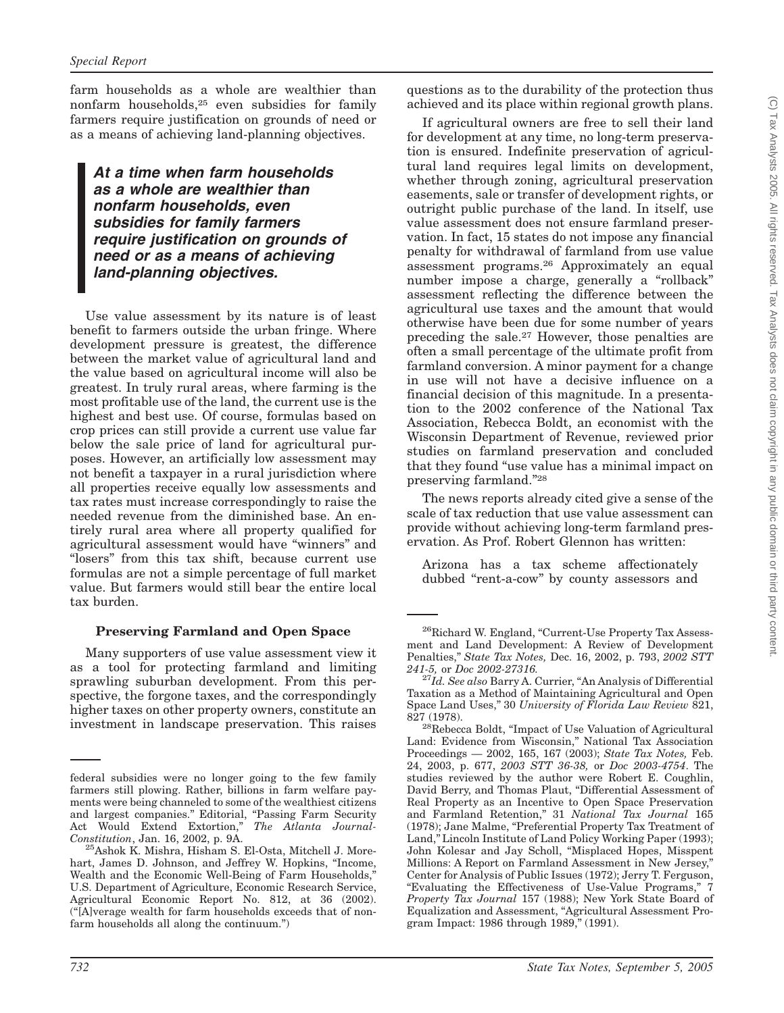farm households as a whole are wealthier than nonfarm households,25 even subsidies for family farmers require justification on grounds of need or as a means of achieving land-planning objectives.

### *At a time when farm households as a whole are wealthier than nonfarm households, even subsidies for family farmers require justification on grounds of need or as a means of achieving land-planning objectives.*

Use value assessment by its nature is of least benefit to farmers outside the urban fringe. Where development pressure is greatest, the difference between the market value of agricultural land and the value based on agricultural income will also be greatest. In truly rural areas, where farming is the most profitable use of the land, the current use is the highest and best use. Of course, formulas based on crop prices can still provide a current use value far below the sale price of land for agricultural purposes. However, an artificially low assessment may not benefit a taxpayer in a rural jurisdiction where all properties receive equally low assessments and tax rates must increase correspondingly to raise the needed revenue from the diminished base. An entirely rural area where all property qualified for agricultural assessment would have ''winners'' and "losers" from this tax shift, because current use formulas are not a simple percentage of full market value. But farmers would still bear the entire local tax burden.

#### **Preserving Farmland and Open Space**

Many supporters of use value assessment view it as a tool for protecting farmland and limiting sprawling suburban development. From this perspective, the forgone taxes, and the correspondingly higher taxes on other property owners, constitute an investment in landscape preservation. This raises

questions as to the durability of the protection thus achieved and its place within regional growth plans.

If agricultural owners are free to sell their land for development at any time, no long-term preservation is ensured. Indefinite preservation of agricultural land requires legal limits on development, whether through zoning, agricultural preservation easements, sale or transfer of development rights, or outright public purchase of the land. In itself, use value assessment does not ensure farmland preservation. In fact, 15 states do not impose any financial penalty for withdrawal of farmland from use value assessment programs.26 Approximately an equal number impose a charge, generally a "rollback" assessment reflecting the difference between the agricultural use taxes and the amount that would otherwise have been due for some number of years preceding the sale.27 However, those penalties are often a small percentage of the ultimate profit from farmland conversion. A minor payment for a change in use will not have a decisive influence on a financial decision of this magnitude. In a presentation to the 2002 conference of the National Tax Association, Rebecca Boldt, an economist with the Wisconsin Department of Revenue, reviewed prior studies on farmland preservation and concluded that they found ''use value has a minimal impact on preserving farmland.''28

The news reports already cited give a sense of the scale of tax reduction that use value assessment can provide without achieving long-term farmland preservation. As Prof. Robert Glennon has written:

Arizona has a tax scheme affectionately dubbed ''rent-a-cow'' by county assessors and

federal subsidies were no longer going to the few family farmers still plowing. Rather, billions in farm welfare payments were being channeled to some of the wealthiest citizens and largest companies." Editorial, "Passing Farm Security Act Would Extend Extortion,'' *The Atlanta Journal-*

<sup>&</sup>lt;sup>25</sup>Ashok K. Mishra, Hisham S. El-Osta, Mitchell J. Morehart, James D. Johnson, and Jeffrey W. Hopkins, ''Income, Wealth and the Economic Well-Being of Farm Households,'' U.S. Department of Agriculture, Economic Research Service, Agricultural Economic Report No. 812, at 36 (2002). (''[A]verage wealth for farm households exceeds that of nonfarm households all along the continuum.'')

<sup>&</sup>lt;sup>26</sup>Richard W. England, "Current-Use Property Tax Assessment and Land Development: A Review of Development Penalties,'' *State Tax Notes,* Dec. 16, 2002, p. 793, *2002 STT*

<sup>&</sup>lt;sup>27</sup>Id. See also Barry A. Currier, "An Analysis of Differential Taxation as a Method of Maintaining Agricultural and Open Space Land Uses,'' 30 *University of Florida Law Review* 821, 827 (1978).<br><sup>28</sup>Rebecca Boldt, "Impact of Use Valuation of Agricultural"

Land: Evidence from Wisconsin,'' National Tax Association Proceedings — 2002, 165, 167 (2003); *State Tax Notes,* Feb. 24, 2003, p. 677, *2003 STT 36-38,* or *Doc 2003-4754*. The studies reviewed by the author were Robert E. Coughlin, David Berry, and Thomas Plaut, ''Differential Assessment of Real Property as an Incentive to Open Space Preservation and Farmland Retention,'' 31 *National Tax Journal* 165 (1978); Jane Malme, ''Preferential Property Tax Treatment of Land,'' Lincoln Institute of Land Policy Working Paper (1993); John Kolesar and Jay Scholl, ''Misplaced Hopes, Misspent Millions: A Report on Farmland Assessment in New Jersey,'' Center for Analysis of Public Issues (1972); Jerry T. Ferguson, ''Evaluating the Effectiveness of Use-Value Programs,'' 7 *Property Tax Journal* 157 (1988); New York State Board of Equalization and Assessment, ''Agricultural Assessment Program Impact: 1986 through 1989,'' (1991).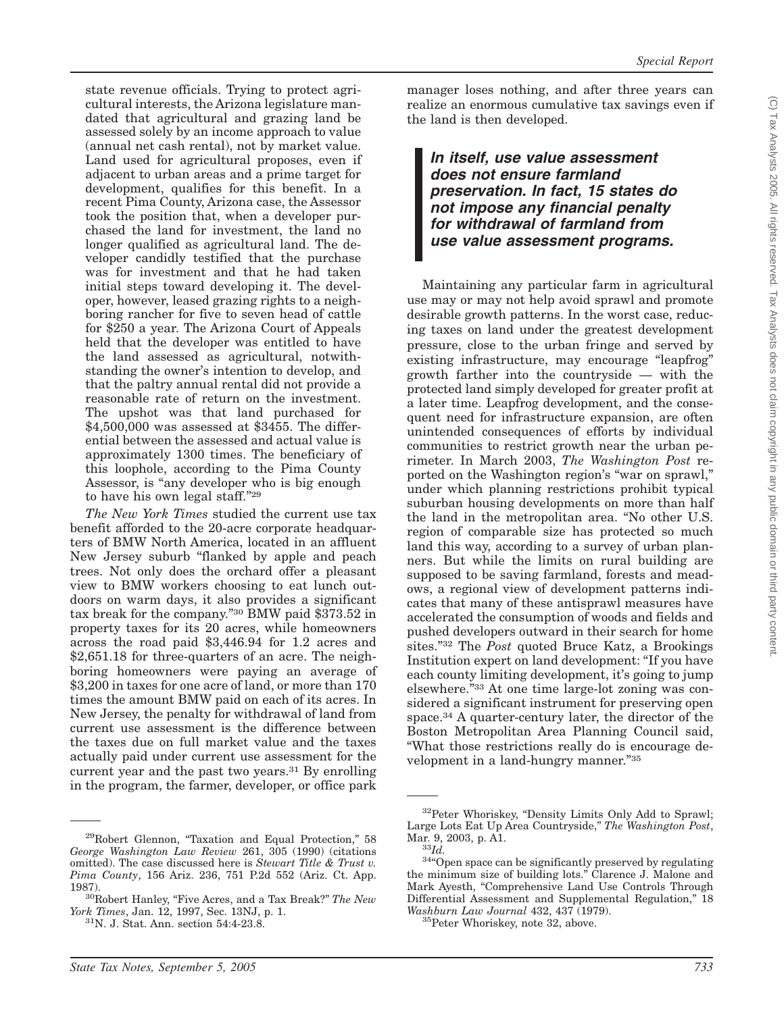state revenue officials. Trying to protect agricultural interests, the Arizona legislature mandated that agricultural and grazing land be assessed solely by an income approach to value (annual net cash rental), not by market value. Land used for agricultural proposes, even if adjacent to urban areas and a prime target for development, qualifies for this benefit. In a recent Pima County, Arizona case, the Assessor took the position that, when a developer purchased the land for investment, the land no longer qualified as agricultural land. The developer candidly testified that the purchase was for investment and that he had taken initial steps toward developing it. The developer, however, leased grazing rights to a neighboring rancher for five to seven head of cattle for \$250 a year. The Arizona Court of Appeals held that the developer was entitled to have the land assessed as agricultural, notwithstanding the owner's intention to develop, and that the paltry annual rental did not provide a reasonable rate of return on the investment. The upshot was that land purchased for \$4,500,000 was assessed at \$3455. The differential between the assessed and actual value is approximately 1300 times. The beneficiary of this loophole, according to the Pima County Assessor, is "any developer who is big enough to have his own legal staff.''29

*The New York Times* studied the current use tax benefit afforded to the 20-acre corporate headquarters of BMW North America, located in an affluent New Jersey suburb ''flanked by apple and peach trees. Not only does the orchard offer a pleasant view to BMW workers choosing to eat lunch outdoors on warm days, it also provides a significant tax break for the company.''30 BMW paid \$373.52 in property taxes for its 20 acres, while homeowners across the road paid \$3,446.94 for 1.2 acres and \$2,651.18 for three-quarters of an acre. The neighboring homeowners were paying an average of \$3,200 in taxes for one acre of land, or more than 170 times the amount BMW paid on each of its acres. In New Jersey, the penalty for withdrawal of land from current use assessment is the difference between the taxes due on full market value and the taxes actually paid under current use assessment for the current year and the past two years.<sup>31</sup> By enrolling in the program, the farmer, developer, or office park

manager loses nothing, and after three years can realize an enormous cumulative tax savings even if the land is then developed.

*In itself, use value assessment does not ensure farmland preservation. In fact, 15 states do not impose any financial penalty for withdrawal of farmland from use value assessment programs.*

Maintaining any particular farm in agricultural use may or may not help avoid sprawl and promote desirable growth patterns. In the worst case, reducing taxes on land under the greatest development pressure, close to the urban fringe and served by existing infrastructure, may encourage "leapfrog" growth farther into the countryside — with the protected land simply developed for greater profit at a later time. Leapfrog development, and the consequent need for infrastructure expansion, are often unintended consequences of efforts by individual communities to restrict growth near the urban perimeter. In March 2003, *The Washington Post* reported on the Washington region's ''war on sprawl,'' under which planning restrictions prohibit typical suburban housing developments on more than half the land in the metropolitan area. ''No other U.S. region of comparable size has protected so much land this way, according to a survey of urban planners. But while the limits on rural building are supposed to be saving farmland, forests and meadows, a regional view of development patterns indicates that many of these antisprawl measures have accelerated the consumption of woods and fields and pushed developers outward in their search for home sites.''32 The *Post* quoted Bruce Katz, a Brookings Institution expert on land development: ''If you have each county limiting development, it's going to jump elsewhere."33 At one time large-lot zoning was considered a significant instrument for preserving open space.34 A quarter-century later, the director of the Boston Metropolitan Area Planning Council said, ''What those restrictions really do is encourage development in a land-hungry manner."35

<sup>&</sup>lt;sup>29</sup>Robert Glennon, "Taxation and Equal Protection," 58 *George Washington Law Review* 261, 305 (1990) (citations omitted). The case discussed here is *Stewart Title & Trust v. Pima County*, 156 Ariz. 236, 751 P.2d 552 (Ariz. Ct. App.

<sup>1987).&</sup>lt;br><sup>30</sup>Robert Hanley, "Five Acres, and a Tax Break?" *The New*<br>*York Times*, Jan. 12, 1997, Sec. 13NJ, p. 1.

<sup>&</sup>lt;sup>31</sup>N. J. Stat. Ann. section 54:4-23.8.

<sup>32</sup>Peter Whoriskey, ''Density Limits Only Add to Sprawl; Large Lots Eat Up Area Countryside," *The Washington Post*, Mar. 9, 2003, p. A1.<br><sup>33</sup>*Id*.

<sup>&</sup>lt;sup>34</sup><sup>4</sup>Open space can be significantly preserved by regulating the minimum size of building lots.'' Clarence J. Malone and Mark Ayesth, ''Comprehensive Land Use Controls Through Differential Assessment and Supplemental Regulation," 18 *Washburn Law Journal* 432, 437 (1979). 35Peter Whoriskey, note 32, above.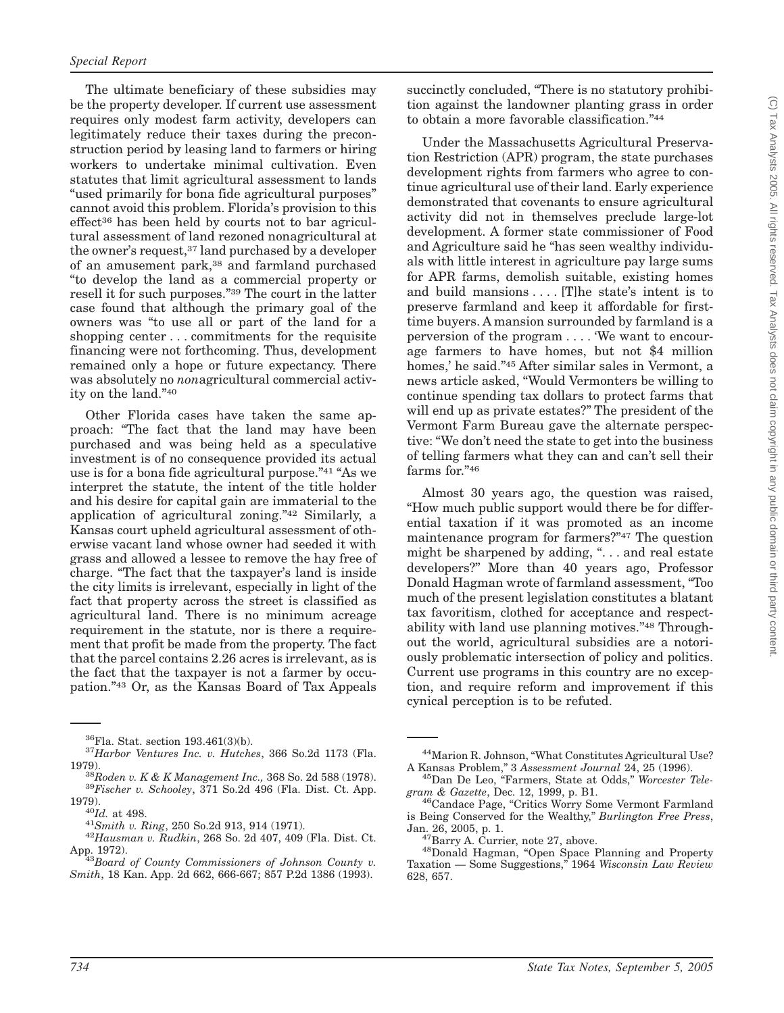The ultimate beneficiary of these subsidies may be the property developer. If current use assessment requires only modest farm activity, developers can legitimately reduce their taxes during the preconstruction period by leasing land to farmers or hiring workers to undertake minimal cultivation. Even statutes that limit agricultural assessment to lands ''used primarily for bona fide agricultural purposes'' cannot avoid this problem. Florida's provision to this effect36 has been held by courts not to bar agricultural assessment of land rezoned nonagricultural at the owner's request,37 land purchased by a developer of an amusement park,<sup>38</sup> and farmland purchased ''to develop the land as a commercial property or resell it for such purposes.''39 The court in the latter case found that although the primary goal of the owners was ''to use all or part of the land for a shopping center... commitments for the requisite financing were not forthcoming. Thus, development remained only a hope or future expectancy. There was absolutely no *non*agricultural commercial activity on the land.''40

Other Florida cases have taken the same approach: ''The fact that the land may have been purchased and was being held as a speculative investment is of no consequence provided its actual use is for a bona fide agricultural purpose."<sup>41</sup> "As we interpret the statute, the intent of the title holder and his desire for capital gain are immaterial to the application of agricultural zoning.''42 Similarly, a Kansas court upheld agricultural assessment of otherwise vacant land whose owner had seeded it with grass and allowed a lessee to remove the hay free of charge. ''The fact that the taxpayer's land is inside the city limits is irrelevant, especially in light of the fact that property across the street is classified as agricultural land. There is no minimum acreage requirement in the statute, nor is there a requirement that profit be made from the property. The fact that the parcel contains 2.26 acres is irrelevant, as is the fact that the taxpayer is not a farmer by occupation."<sup>43</sup> Or, as the Kansas Board of Tax Appeals

succinctly concluded, "There is no statutory prohibition against the landowner planting grass in order to obtain a more favorable classification.''44

Under the Massachusetts Agricultural Preservation Restriction (APR) program, the state purchases development rights from farmers who agree to continue agricultural use of their land. Early experience demonstrated that covenants to ensure agricultural activity did not in themselves preclude large-lot development. A former state commissioner of Food and Agriculture said he ''has seen wealthy individuals with little interest in agriculture pay large sums for APR farms, demolish suitable, existing homes and build mansions.... [T]he state's intent is to preserve farmland and keep it affordable for firsttime buyers. A mansion surrounded by farmland is a perversion of the program . . . . 'We want to encourage farmers to have homes, but not \$4 million homes,' he said.''45 After similar sales in Vermont, a news article asked, ''Would Vermonters be willing to continue spending tax dollars to protect farms that will end up as private estates?'' The president of the Vermont Farm Bureau gave the alternate perspective: ''We don't need the state to get into the business of telling farmers what they can and can't sell their farms for."46

Almost 30 years ago, the question was raised, ''How much public support would there be for differential taxation if it was promoted as an income maintenance program for farmers?"47 The question might be sharpened by adding, "... and real estate developers?'' More than 40 years ago, Professor Donald Hagman wrote of farmland assessment, ''Too much of the present legislation constitutes a blatant tax favoritism, clothed for acceptance and respectability with land use planning motives."<sup>48</sup> Throughout the world, agricultural subsidies are a notoriously problematic intersection of policy and politics. Current use programs in this country are no exception, and require reform and improvement if this cynical perception is to be refuted.

<sup>36</sup>Fla. Stat. section 193.461(3)(b). <sup>37</sup>*Harbor Ventures Inc. v. Hutches*, 366 So.2d 1173 (Fla.

<sup>1979).</sup> <sup>38</sup>*Roden v.K&K Management Inc.,* 368 So. 2d 588 (1978). <sup>39</sup>*Fischer v. Schooley*, 371 So.2d 496 (Fla. Dist. Ct. App. 1979). <sup>40</sup>*Id.* at 498. <sup>41</sup>*Smith v. Ring*, 250 So.2d 913, 914 (1971). <sup>42</sup>*Hausman v. Rudkin*, 268 So. 2d 407, 409 (Fla. Dist. Ct.

App. 1972). <sup>43</sup>*Board of County Commissioners of Johnson County v.*

*Smith*, 18 Kan. App. 2d 662, 666-667; 857 P.2d 1386 (1993).

<sup>&</sup>lt;sup>44</sup>Marion R. Johnson, "What Constitutes Agricultural Use?<br>A Kansas Problem," 3 Assessment Journal 24, 25 (1996).

<sup>&</sup>lt;sup>45</sup>Dan De Leo, "Farmers, State at Odds," *Worcester Tele-*

*gram & Gazette*, Dec. 12, 1999, p. B1. 46Candace Page, ''Critics Worry Some Vermont Farmland is Being Conserved for the Wealthy,'' *Burlington Free Press*,

<sup>&</sup>lt;sup>47</sup>Barry A. Currier, note 27, above.<br><sup>48</sup>Donald Hagman, "Open Space Planning and Property Taxation — Some Suggestions,'' 1964 *Wisconsin Law Review* 628, 657.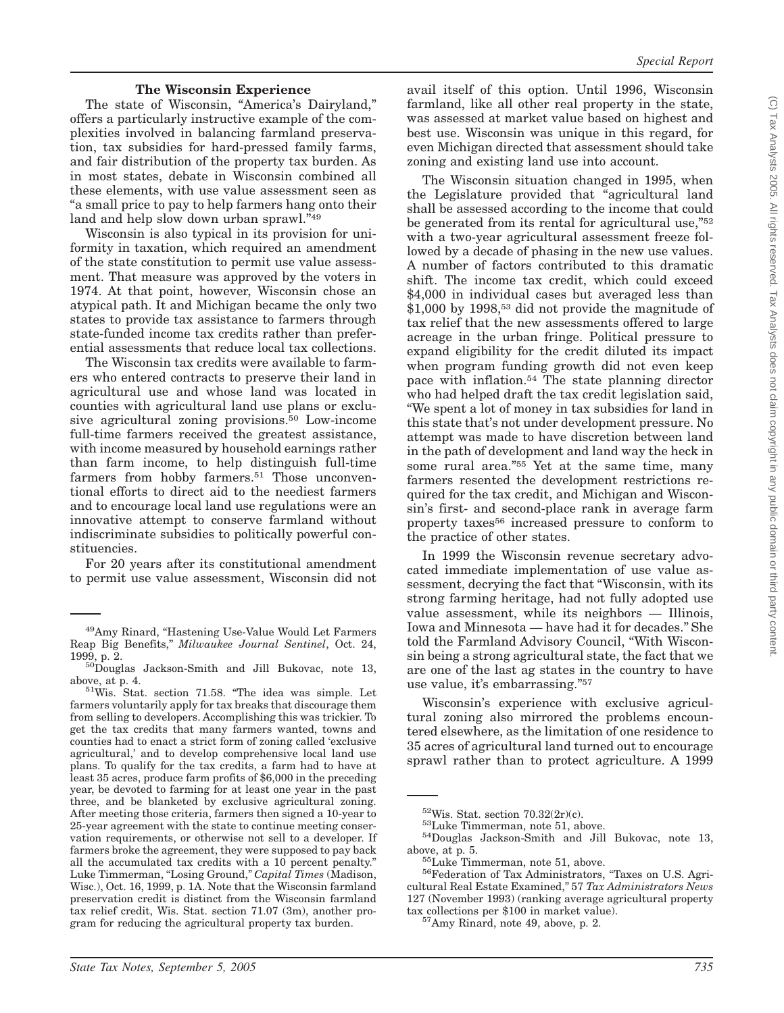#### **The Wisconsin Experience**

The state of Wisconsin, "America's Dairyland," offers a particularly instructive example of the complexities involved in balancing farmland preservation, tax subsidies for hard-pressed family farms, and fair distribution of the property tax burden. As in most states, debate in Wisconsin combined all these elements, with use value assessment seen as ''a small price to pay to help farmers hang onto their land and help slow down urban sprawl."<sup>49</sup>

Wisconsin is also typical in its provision for uniformity in taxation, which required an amendment of the state constitution to permit use value assessment. That measure was approved by the voters in 1974. At that point, however, Wisconsin chose an atypical path. It and Michigan became the only two states to provide tax assistance to farmers through state-funded income tax credits rather than preferential assessments that reduce local tax collections.

The Wisconsin tax credits were available to farmers who entered contracts to preserve their land in agricultural use and whose land was located in counties with agricultural land use plans or exclusive agricultural zoning provisions.50 Low-income full-time farmers received the greatest assistance, with income measured by household earnings rather than farm income, to help distinguish full-time farmers from hobby farmers.<sup>51</sup> Those unconventional efforts to direct aid to the neediest farmers and to encourage local land use regulations were an innovative attempt to conserve farmland without indiscriminate subsidies to politically powerful constituencies.

For 20 years after its constitutional amendment to permit use value assessment, Wisconsin did not

avail itself of this option. Until 1996, Wisconsin farmland, like all other real property in the state, was assessed at market value based on highest and best use. Wisconsin was unique in this regard, for even Michigan directed that assessment should take zoning and existing land use into account.

The Wisconsin situation changed in 1995, when the Legislature provided that ''agricultural land shall be assessed according to the income that could be generated from its rental for agricultural use,"<sup>52</sup> with a two-year agricultural assessment freeze followed by a decade of phasing in the new use values. A number of factors contributed to this dramatic shift. The income tax credit, which could exceed \$4,000 in individual cases but averaged less than  $$1,000$  by 1998,<sup>53</sup> did not provide the magnitude of tax relief that the new assessments offered to large acreage in the urban fringe. Political pressure to expand eligibility for the credit diluted its impact when program funding growth did not even keep pace with inflation.<sup>54</sup> The state planning director who had helped draft the tax credit legislation said, ''We spent a lot of money in tax subsidies for land in this state that's not under development pressure. No attempt was made to have discretion between land in the path of development and land way the heck in some rural area." $55$  Yet at the same time, many farmers resented the development restrictions required for the tax credit, and Michigan and Wisconsin's first- and second-place rank in average farm property taxes56 increased pressure to conform to the practice of other states.

In 1999 the Wisconsin revenue secretary advocated immediate implementation of use value assessment, decrying the fact that ''Wisconsin, with its strong farming heritage, had not fully adopted use value assessment, while its neighbors — Illinois, Iowa and Minnesota — have had it for decades.'' She told the Farmland Advisory Council, ''With Wisconsin being a strong agricultural state, the fact that we are one of the last ag states in the country to have use value, it's embarrassing.''57

Wisconsin's experience with exclusive agricultural zoning also mirrored the problems encountered elsewhere, as the limitation of one residence to 35 acres of agricultural land turned out to encourage sprawl rather than to protect agriculture. A 1999

<sup>&</sup>lt;sup>49</sup>Amy Rinard, "Hastening Use-Value Would Let Farmers Reap Big Benefits,'' *Milwaukee Journal Sentinel*, Oct. 24,

 $^{50}$ Douglas Jackson-Smith and Jill Bukovac, note 13, above, at p. 4.  $51\text{Wis}$ . Stat. section 71.58. "The idea was simple. Let

farmers voluntarily apply for tax breaks that discourage them from selling to developers. Accomplishing this was trickier. To get the tax credits that many farmers wanted, towns and counties had to enact a strict form of zoning called 'exclusive agricultural,' and to develop comprehensive local land use plans. To qualify for the tax credits, a farm had to have at least 35 acres, produce farm profits of \$6,000 in the preceding year, be devoted to farming for at least one year in the past three, and be blanketed by exclusive agricultural zoning. After meeting those criteria, farmers then signed a 10-year to 25-year agreement with the state to continue meeting conservation requirements, or otherwise not sell to a developer. If farmers broke the agreement, they were supposed to pay back all the accumulated tax credits with a 10 percent penalty.'' Luke Timmerman, "Losing Ground," *Capital Times* (Madison, Wisc.), Oct. 16, 1999, p. 1A. Note that the Wisconsin farmland preservation credit is distinct from the Wisconsin farmland tax relief credit, Wis. Stat. section 71.07 (3m), another program for reducing the agricultural property tax burden.

<sup>&</sup>lt;sup>52</sup>Wis. Stat. section 70.32(2r)(c).<br><sup>53</sup>Luke Timmerman, note 51, above.<br><sup>54</sup>Douglas Jackson-Smith and Jill Bukovac, note 13, above, at p. 5.

 $55$ Luke Timmerman, note 51, above.<br> $56$ Federation of Tax Administrators, "Taxes on U.S. Agricultural Real Estate Examined,'' 57 *Tax Administrators News* 127 (November 1993) (ranking average agricultural property tax collections per \$100 in market value). 57Amy Rinard, note 49, above, p. 2.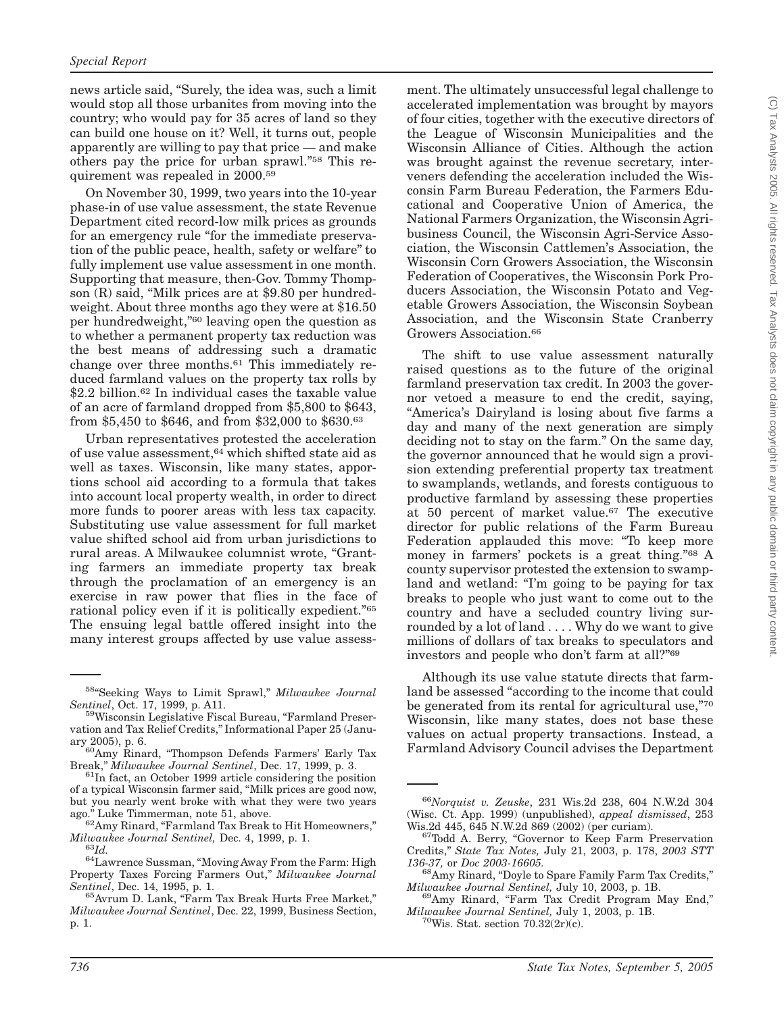news article said, ''Surely, the idea was, such a limit would stop all those urbanites from moving into the country; who would pay for 35 acres of land so they can build one house on it? Well, it turns out, people apparently are willing to pay that price — and make others pay the price for urban sprawl."<sup>58</sup> This requirement was repealed in 2000.59

On November 30, 1999, two years into the 10-year phase-in of use value assessment, the state Revenue Department cited record-low milk prices as grounds for an emergency rule "for the immediate preservation of the public peace, health, safety or welfare'' to fully implement use value assessment in one month. Supporting that measure, then-Gov. Tommy Thompson  $(R)$  said, "Milk prices are at \$9.80 per hundredweight. About three months ago they were at \$16.50 per hundredweight,"<sup>60</sup> leaving open the question as to whether a permanent property tax reduction was the best means of addressing such a dramatic change over three months.61 This immediately reduced farmland values on the property tax rolls by \$2.2 billion.<sup>62</sup> In individual cases the taxable value of an acre of farmland dropped from \$5,800 to \$643, from \$5,450 to \$646, and from \$32,000 to \$630.63

Urban representatives protested the acceleration of use value assessment,64 which shifted state aid as well as taxes. Wisconsin, like many states, apportions school aid according to a formula that takes into account local property wealth, in order to direct more funds to poorer areas with less tax capacity. Substituting use value assessment for full market value shifted school aid from urban jurisdictions to rural areas. A Milwaukee columnist wrote, ''Granting farmers an immediate property tax break through the proclamation of an emergency is an exercise in raw power that flies in the face of rational policy even if it is politically expedient."<sup>65</sup> The ensuing legal battle offered insight into the many interest groups affected by use value assess-

ment. The ultimately unsuccessful legal challenge to accelerated implementation was brought by mayors of four cities, together with the executive directors of the League of Wisconsin Municipalities and the Wisconsin Alliance of Cities. Although the action was brought against the revenue secretary, interveners defending the acceleration included the Wisconsin Farm Bureau Federation, the Farmers Educational and Cooperative Union of America, the National Farmers Organization, the Wisconsin Agribusiness Council, the Wisconsin Agri-Service Association, the Wisconsin Cattlemen's Association, the Wisconsin Corn Growers Association, the Wisconsin Federation of Cooperatives, the Wisconsin Pork Producers Association, the Wisconsin Potato and Vegetable Growers Association, the Wisconsin Soybean Association, and the Wisconsin State Cranberry Growers Association.<sup>66</sup>

The shift to use value assessment naturally raised questions as to the future of the original farmland preservation tax credit. In 2003 the governor vetoed a measure to end the credit, saying, ''America's Dairyland is losing about five farms a day and many of the next generation are simply deciding not to stay on the farm.'' On the same day, the governor announced that he would sign a provision extending preferential property tax treatment to swamplands, wetlands, and forests contiguous to productive farmland by assessing these properties at 50 percent of market value.67 The executive director for public relations of the Farm Bureau Federation applauded this move: ''To keep more money in farmers' pockets is a great thing."68 A county supervisor protested the extension to swampland and wetland: "I'm going to be paying for tax breaks to people who just want to come out to the country and have a secluded country living surrounded by a lot of land . . . . Why do we want to give millions of dollars of tax breaks to speculators and investors and people who don't farm at all?''69

Although its use value statute directs that farmland be assessed "according to the income that could be generated from its rental for agricultural use,"70 Wisconsin, like many states, does not base these values on actual property transactions. Instead, a Farmland Advisory Council advises the Department

<sup>58&#</sup>x27;'Seeking Ways to Limit Sprawl,'' *Milwaukee Journal*

*Sentinel*, Oct. 17, 1999, p. A11.<br><sup>59</sup>Wisconsin Legislative Fiscal Bureau, "Farmland Preservation and Tax Relief Credits,'' Informational Paper 25 (January 2005), p. 6.<br><sup>60</sup>Amy Rinard, "Thompson Defends Farmers' Early Tax

Break," *Milwaukee Journal Sentinel*, Dec. 17, 1999, p. 3.<br><sup>61</sup>In fact, an October 1999 article considering the position

of a typical Wisconsin farmer said, ''Milk prices are good now, but you nearly went broke with what they were two years ago." Luke Timmerman, note 51, above.

 $^{62}\!$  Amy Rinard, "Farmland Tax Break to Hit Homeowners," *Milwaukee Journal Sentinel,* Dec. 4, 1999, p. 1. <sup>63</sup>*Id.* 64Lawrence Sussman, ''Moving Away From the Farm: High

Property Taxes Forcing Farmers Out,'' *Milwaukee Journal*

*Sentinel*, Dec. 14, 1995, p. 1.<br><sup>65</sup>Avrum D. Lank, "Farm Tax Break Hurts Free Market," *Milwaukee Journal Sentinel*, Dec. 22, 1999, Business Section, p. 1.

<sup>66</sup>*Norquist v. Zeuske*, 231 Wis.2d 238, 604 N.W.2d 304 (Wisc. Ct. App. 1999) (unpublished), *appeal dismissed*, 253

Wis.2d 445, 645 N.W.2d 869 (2002) (per curiam).<br><sup>67</sup>Todd A. Berry, "Governor to Keep Farm Preservation Credits,'' *State Tax Notes,* July 21, 2003, p. 178, *2003 STT*

<sup>&</sup>lt;sup>68</sup>Amy Rinard, "Doyle to Spare Family Farm Tax Credits,"

*Milwaukee Journal Sentinel, July 10, 2003, p. 1B.* 69<br><sup>69</sup>Amy Rinard, "Farm Tax Credit Program May End," *Milwaukee Journal Sentinel,* July 1, 2003, p. 1B. 70Wis. Stat. section 70.32(2r)(c).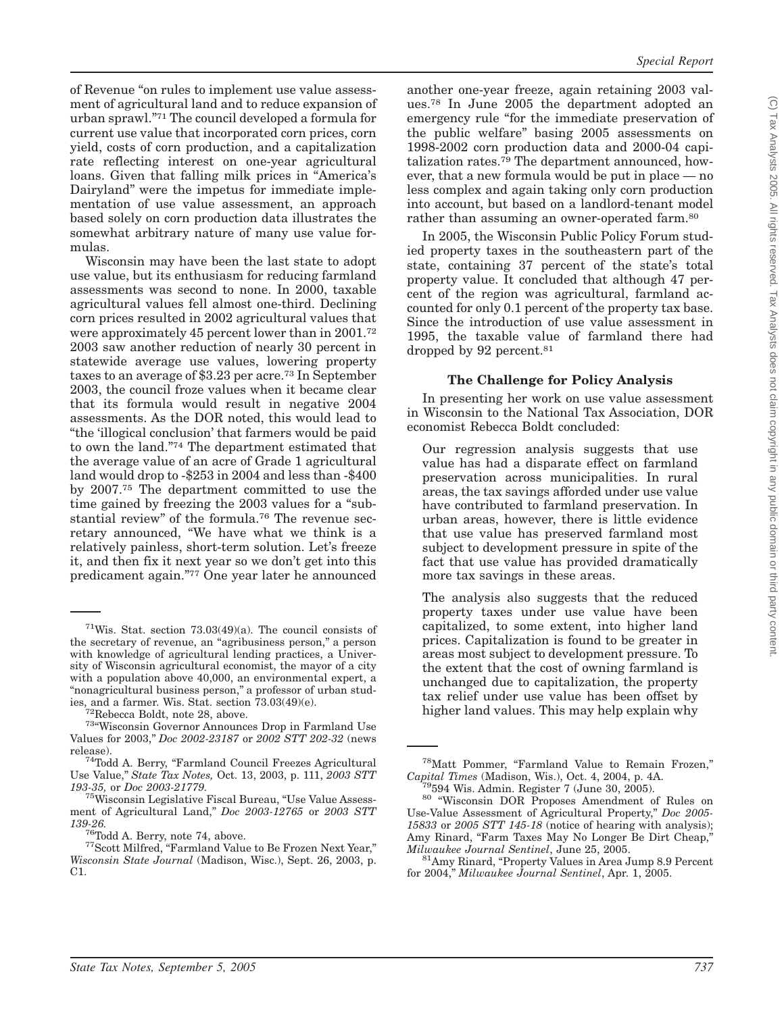of Revenue ''on rules to implement use value assessment of agricultural land and to reduce expansion of urban sprawl.''71 The council developed a formula for current use value that incorporated corn prices, corn yield, costs of corn production, and a capitalization rate reflecting interest on one-year agricultural loans. Given that falling milk prices in ''America's Dairyland'' were the impetus for immediate implementation of use value assessment, an approach based solely on corn production data illustrates the somewhat arbitrary nature of many use value formulas.

Wisconsin may have been the last state to adopt use value, but its enthusiasm for reducing farmland assessments was second to none. In 2000, taxable agricultural values fell almost one-third. Declining corn prices resulted in 2002 agricultural values that were approximately 45 percent lower than in 2001.72 2003 saw another reduction of nearly 30 percent in statewide average use values, lowering property taxes to an average of \$3.23 per acre.73 In September 2003, the council froze values when it became clear that its formula would result in negative 2004 assessments. As the DOR noted, this would lead to ''the 'illogical conclusion' that farmers would be paid to own the land.''74 The department estimated that the average value of an acre of Grade 1 agricultural land would drop to -\$253 in 2004 and less than -\$400 by 2007.75 The department committed to use the time gained by freezing the 2003 values for a "substantial review'' of the formula.76 The revenue secretary announced, ''We have what we think is a relatively painless, short-term solution. Let's freeze it, and then fix it next year so we don't get into this predicament again.''77 One year later he announced

another one-year freeze, again retaining 2003 values.78 In June 2005 the department adopted an emergency rule "for the immediate preservation of the public welfare'' basing 2005 assessments on 1998-2002 corn production data and 2000-04 capitalization rates.<sup>79</sup> The department announced, however, that a new formula would be put in place — no less complex and again taking only corn production into account, but based on a landlord-tenant model rather than assuming an owner-operated farm.<sup>80</sup>

*Special Report*

In 2005, the Wisconsin Public Policy Forum studied property taxes in the southeastern part of the state, containing 37 percent of the state's total property value. It concluded that although 47 percent of the region was agricultural, farmland accounted for only 0.1 percent of the property tax base. Since the introduction of use value assessment in 1995, the taxable value of farmland there had dropped by 92 percent.<sup>81</sup>

#### **The Challenge for Policy Analysis**

In presenting her work on use value assessment in Wisconsin to the National Tax Association, DOR economist Rebecca Boldt concluded:

Our regression analysis suggests that use value has had a disparate effect on farmland preservation across municipalities. In rural areas, the tax savings afforded under use value have contributed to farmland preservation. In urban areas, however, there is little evidence that use value has preserved farmland most subject to development pressure in spite of the fact that use value has provided dramatically more tax savings in these areas.

The analysis also suggests that the reduced property taxes under use value have been capitalized, to some extent, into higher land prices. Capitalization is found to be greater in areas most subject to development pressure. To the extent that the cost of owning farmland is unchanged due to capitalization, the property tax relief under use value has been offset by higher land values. This may help explain why

 $71W$ is. Stat. section  $73.03(49)(a)$ . The council consists of the secretary of revenue, an ''agribusiness person,'' a person with knowledge of agricultural lending practices, a University of Wisconsin agricultural economist, the mayor of a city with a population above 40,000, an environmental expert, a "nonagricultural business person," a professor of urban stud-<br>ies, and a farmer. Wis. Stat. section 73.03(49)(e).

 $\frac{72}{72}$ Rebecca Boldt, note 28, above.<br> $\frac{73}{8}$ 'Wisconsin Governor Announces Drop in Farmland Use Values for 2003,'' *Doc 2002-23187* or *2002 STT 202-32* (news release). 74Todd A. Berry, ''Farmland Council Freezes Agricultural

Use Value,'' *State Tax Notes,* Oct. 13, 2003, p. 111, *2003 STT*

<sup>&</sup>lt;sup>75</sup>Wisconsin Legislative Fiscal Bureau, "Use Value Assessment of Agricultural Land,'' *Doc 2003-12765* or *2003 STT 139-26.* 76Todd A. Berry, note 74, above. 77Scott Milfred, ''Farmland Value to Be Frozen Next Year,''

*Wisconsin State Journal* (Madison, Wisc.), Sept. 26, 2003, p.  $C1$ .

<sup>&</sup>lt;sup>78</sup>Matt Pommer, "Farmland Value to Remain Frozen," Capital Times (Madison, Wis.), Oct. 4, 2004, p. 4A.

<sup>&</sup>lt;sup>79</sup>594 Wis. Admin. Register 7 (June 30, 2005). <sup>80</sup> "Wisconsin DOR Proposes Amendment of Rules on Use-Value Assessment of Agricultural Property,'' *Doc 2005- 15833* or *2005 STT 145-18* (notice of hearing with analysis); Amy Rinard, "Farm Taxes May No Longer Be Dirt Cheap," Milwaukee Journal Sentinel, June 25, 2005.

<sup>&</sup>lt;sup>81</sup>Amy Rinard, "Property Values in Area Jump 8.9 Percent for 2004,'' *Milwaukee Journal Sentinel*, Apr. 1, 2005.